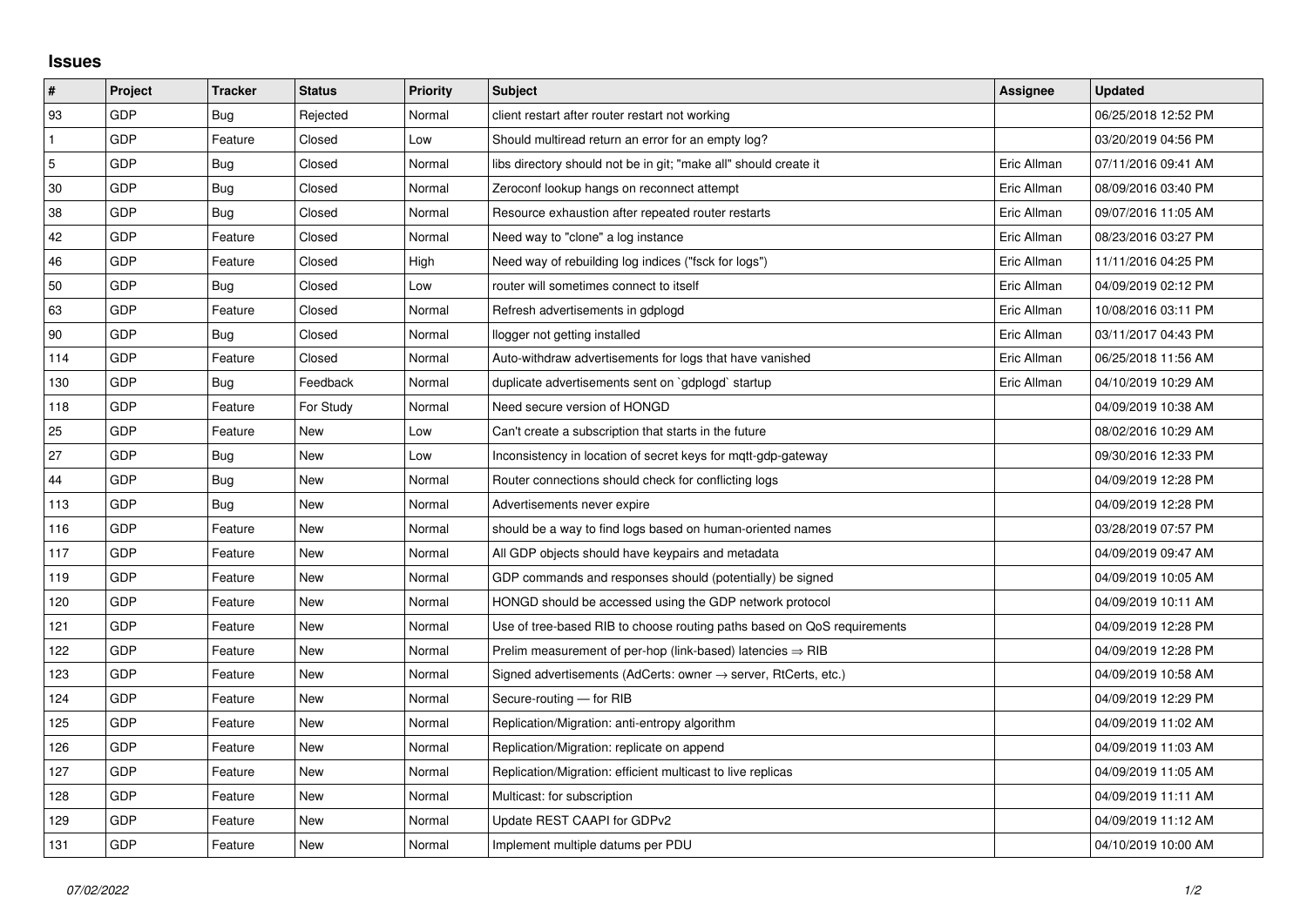## **Issues**

| $\vert$ #      | Project | <b>Tracker</b> | <b>Status</b> | <b>Priority</b> | <b>Subject</b>                                                          | Assignee    | <b>Updated</b>      |
|----------------|---------|----------------|---------------|-----------------|-------------------------------------------------------------------------|-------------|---------------------|
| 93             | GDP     | Bug            | Rejected      | Normal          | client restart after router restart not working                         |             | 06/25/2018 12:52 PM |
| $\mathbf{1}$   | GDP     | Feature        | Closed        | Low             | Should multiread return an error for an empty log?                      |             | 03/20/2019 04:56 PM |
| $\overline{5}$ | GDP     | Bug            | Closed        | Normal          | libs directory should not be in git; "make all" should create it        | Eric Allman | 07/11/2016 09:41 AM |
| 30             | GDP     | Bug            | Closed        | Normal          | Zeroconf lookup hangs on reconnect attempt                              | Eric Allman | 08/09/2016 03:40 PM |
| 38             | GDP     | Bug            | Closed        | Normal          | Resource exhaustion after repeated router restarts                      | Eric Allman | 09/07/2016 11:05 AM |
| 42             | GDP     | Feature        | Closed        | Normal          | Need way to "clone" a log instance                                      | Eric Allman | 08/23/2016 03:27 PM |
| 46             | GDP     | Feature        | Closed        | High            | Need way of rebuilding log indices ("fsck for logs")                    | Eric Allman | 11/11/2016 04:25 PM |
| 50             | GDP     | Bug            | Closed        | Low             | router will sometimes connect to itself                                 | Eric Allman | 04/09/2019 02:12 PM |
| 63             | GDP     | Feature        | Closed        | Normal          | Refresh advertisements in gdplogd                                       | Eric Allman | 10/08/2016 03:11 PM |
| 90             | GDP     | Bug            | Closed        | Normal          | llogger not getting installed                                           | Eric Allman | 03/11/2017 04:43 PM |
| 114            | GDP     | Feature        | Closed        | Normal          | Auto-withdraw advertisements for logs that have vanished                | Eric Allman | 06/25/2018 11:56 AM |
| 130            | GDP     | Bug            | Feedback      | Normal          | duplicate advertisements sent on `gdplogd` startup                      | Eric Allman | 04/10/2019 10:29 AM |
| 118            | GDP     | Feature        | For Study     | Normal          | Need secure version of HONGD                                            |             | 04/09/2019 10:38 AM |
| 25             | GDP     | Feature        | New           | Low             | Can't create a subscription that starts in the future                   |             | 08/02/2016 10:29 AM |
| 27             | GDP     | Bug            | New           | Low             | Inconsistency in location of secret keys for mgtt-gdp-gateway           |             | 09/30/2016 12:33 PM |
| 44             | GDP     | Bug            | <b>New</b>    | Normal          | Router connections should check for conflicting logs                    |             | 04/09/2019 12:28 PM |
| 113            | GDP     | Bug            | New           | Normal          | Advertisements never expire                                             |             | 04/09/2019 12:28 PM |
| 116            | GDP     | Feature        | New           | Normal          | should be a way to find logs based on human-oriented names              |             | 03/28/2019 07:57 PM |
| 117            | GDP     | Feature        | New           | Normal          | All GDP objects should have keypairs and metadata                       |             | 04/09/2019 09:47 AM |
| 119            | GDP     | Feature        | New           | Normal          | GDP commands and responses should (potentially) be signed               |             | 04/09/2019 10:05 AM |
| 120            | GDP     | Feature        | <b>New</b>    | Normal          | HONGD should be accessed using the GDP network protocol                 |             | 04/09/2019 10:11 AM |
| 121            | GDP     | Feature        | New           | Normal          | Use of tree-based RIB to choose routing paths based on QoS requirements |             | 04/09/2019 12:28 PM |
| 122            | GDP     | Feature        | New           | Normal          | Prelim measurement of per-hop (link-based) latencies $\Rightarrow$ RIB  |             | 04/09/2019 12:28 PM |
| 123            | GDP     | Feature        | New           | Normal          | Signed advertisements (AdCerts: owner → server, RtCerts, etc.)          |             | 04/09/2019 10:58 AM |
| 124            | GDP     | Feature        | New           | Normal          | Secure-routing - for RIB                                                |             | 04/09/2019 12:29 PM |
| 125            | GDP     | Feature        | New           | Normal          | Replication/Migration: anti-entropy algorithm                           |             | 04/09/2019 11:02 AM |
| 126            | GDP     | Feature        | New           | Normal          | Replication/Migration: replicate on append                              |             | 04/09/2019 11:03 AM |
| 127            | GDP     | Feature        | New           | Normal          | Replication/Migration: efficient multicast to live replicas             |             | 04/09/2019 11:05 AM |
| 128            | GDP     | Feature        | New           | Normal          | Multicast: for subscription                                             |             | 04/09/2019 11:11 AM |
| 129            | GDP     | Feature        | New           | Normal          | Update REST CAAPI for GDPv2                                             |             | 04/09/2019 11:12 AM |
| 131            | GDP     | Feature        | New           | Normal          | Implement multiple datums per PDU                                       |             | 04/10/2019 10:00 AM |